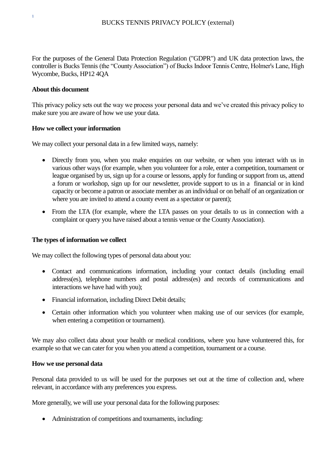For the purposes of the General Data Protection Regulation ("GDPR") and UK data protection laws, the controller is Bucks Tennis (the "County Association") of Bucks Indoor Tennis Centre, Holmer's Lane, High Wycombe, Bucks, HP12 4QA

#### **About this document**

This privacy policy sets out the way we process your personal data and we've created this privacy policy to make sure you are aware of how we use your data.

#### **How we collect your information**

We may collect your personal data in a few limited ways, namely:

- Directly from you, when you make enquiries on our website, or when you interact with us in various other ways (for example, when you volunteer for a role, enter a competition, tournament or league organised by us, sign up for a course or lessons, apply for funding or support from us, attend a forum or workshop, sign up for our newsletter, provide support to us in a financial or in kind capacity or become a patron or associate member as an individual or on behalf of an organization or where you are invited to attend a county event as a spectator or parent);
- From the LTA (for example, where the LTA passes on your details to us in connection with a complaint or query you have raised about a tennis venue or the County Association).

#### **The types of information we collect**

We may collect the following types of personal data about you:

- Contact and communications information, including your contact details (including email address(es), telephone numbers and postal address(es) and records of communications and interactions we have had with you);
- Financial information, including Direct Debit details;
- Certain other information which you volunteer when making use of our services (for example, when entering a competition or tournament).

We may also collect data about your health or medical conditions, where you have volunteered this, for example so that we can cater for you when you attend a competition, tournament or a course.

#### **How we use personal data**

Personal data provided to us will be used for the purposes set out at the time of collection and, where relevant, in accordance with any preferences you express.

More generally, we will use your personal data for the following purposes:

• Administration of competitions and tournaments, including: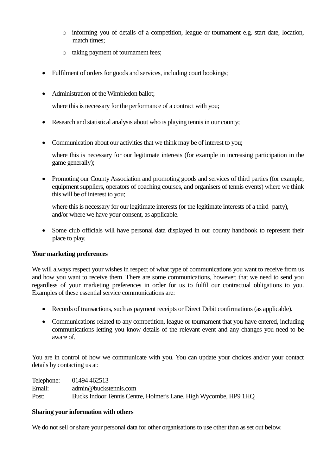- o informing you of details of a competition, league or tournament e.g. start date, location, match times;
- o taking payment of tournament fees;
- Fulfilment of orders for goods and services, including court bookings;
- Administration of the Wimbledon ballot:

where this is necessary for the performance of a contract with you;

- Research and statistical analysis about who is playing tennis in our county;
- Communication about our activities that we think may be of interest to you;

where this is necessary for our legitimate interests (for example in increasing participation in the game generally);

• Promoting our County Association and promoting goods and services of third parties (for example, equipment suppliers, operators of coaching courses, and organisers of tennis events) where we think this will be of interest to you;

where this is necessary for our legitimate interests (or the legitimate interests of a third party), and/or where we have your consent, as applicable.

• Some club officials will have personal data displayed in our county handbook to represent their place to play.

## **Your marketing preferences**

We will always respect your wishes in respect of what type of communications you want to receive from us and how you want to receive them. There are some communications, however, that we need to send you regardless of your marketing preferences in order for us to fulfil our contractual obligations to you. Examples of these essential service communications are:

- Records of transactions, such as payment receipts or Direct Debit confirmations (as applicable).
- Communications related to any competition, league or tournament that you have entered, including communications letting you know details of the relevant event and any changes you need to be aware of.

You are in control of how we communicate with you. You can update your choices and/or your contact details by contacting us at:

| Telephone: | 01494 462513                                                     |
|------------|------------------------------------------------------------------|
| Email:     | admin@buckstennis.com                                            |
| Post:      | Bucks Indoor Tennis Centre, Holmer's Lane, High Wycombe, HP9 1HQ |

## **Sharing your information with others**

We do not sell or share your personal data for other organisations to use other than as set out below.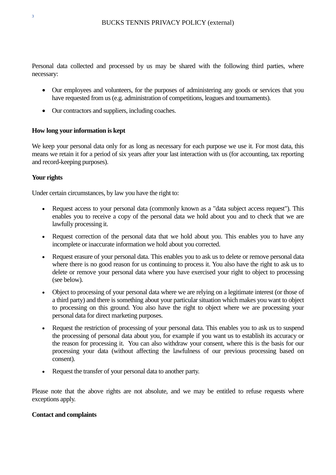Personal data collected and processed by us may be shared with the following third parties, where necessary:

- Our employees and volunteers, for the purposes of administering any goods or services that you have requested from us (e.g. administration of competitions, leagues and tournaments).
- Our contractors and suppliers, including coaches.

# **How long your information is kept**

We keep your personal data only for as long as necessary for each purpose we use it. For most data, this means we retain it for a period of six years after your last interaction with us (for accounting, tax reporting and record-keeping purposes).

# **Your rights**

Under certain circumstances, by law you have the right to:

- Request access to your personal data (commonly known as a "data subject access request"). This enables you to receive a copy of the personal data we hold about you and to check that we are lawfully processing it.
- Request correction of the personal data that we hold about you. This enables you to have any incomplete or inaccurate information we hold about you corrected.
- Request erasure of your personal data. This enables you to ask us to delete or remove personal data where there is no good reason for us continuing to process it. You also have the right to ask us to delete or remove your personal data where you have exercised your right to object to processing (see below).
- Object to processing of your personal data where we are relying on a legitimate interest (or those of a third party) and there is something about your particular situation which makes you want to object to processing on this ground. You also have the right to object where we are processing your personal data for direct marketing purposes.
- Request the restriction of processing of your personal data. This enables you to ask us to suspend the processing of personal data about you, for example if you want us to establish its accuracy or the reason for processing it. You can also withdraw your consent, where this is the basis for our processing your data (without affecting the lawfulness of our previous processing based on consent).
- Request the transfer of your personal data to another party.

Please note that the above rights are not absolute, and we may be entitled to refuse requests where exceptions apply.

## **Contact and complaints**